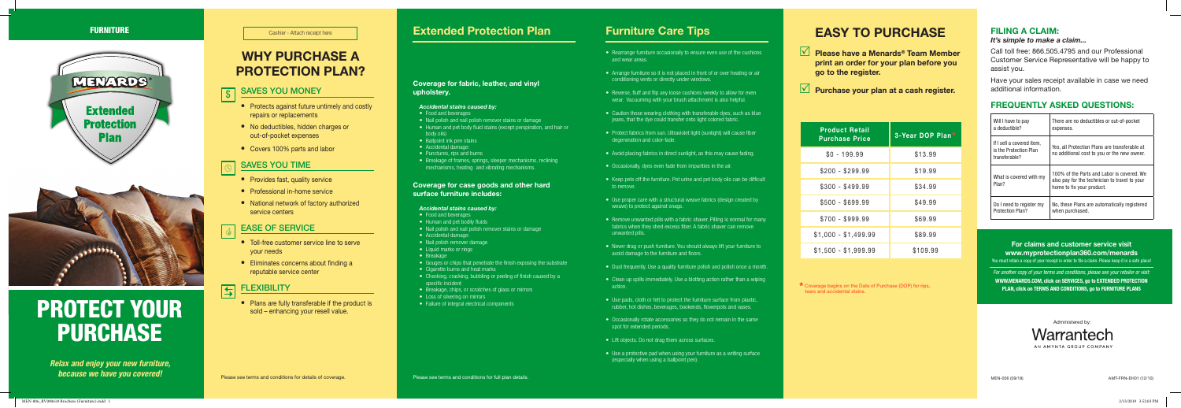Administered by:

Warrantech AN AMYNTA GROUP COMPANY

### FILING A CLAIM:

*It's simple to make a claim...*

Call toll free: 866.505.4795 and our Professional Customer Service Representative will be happy to assist you.

Have your sales receipt available in case we need additional information.

### FREQUENTLY ASKED QUESTIONS:

| Will I have to pay                                                   | There are no deductibles or out-of-pocket                                                                                |
|----------------------------------------------------------------------|--------------------------------------------------------------------------------------------------------------------------|
| a deductible?                                                        | expenses.                                                                                                                |
| If I sell a covered item.<br>is the Protection Plan<br>transferable? | Yes, all Protection Plans are transferable at<br>no additional cost to you or the new owner.                             |
| What is covered with my<br>Plan?                                     | 100% of the Parts and Labor is covered. We<br>also pay for the technician to travel to your<br>home to fix your product. |
| Do I need to register my                                             | No, these Plans are automatically registered                                                                             |
| Protection Plan?                                                     | when purchased.                                                                                                          |

- Food and beverages
- Nail polish and nail polish remover stains or damage
- Human and pet body fluid stains (except perspiration, and hair or body oils)
- Ballpoint ink pen stains
- Accidental damage:
- Punctures, rips and burns
- Breakage of frames, springs, sleeper mechanisms, reclining mechanisms, heating and vibrating mechanisms.

### Coverage for fabric, leather, and vinyl upholstery.

### *Accidental stains caused by:*

### Coverage for case goods and other hard surface furniture includes:

• Reverse, fluff and flip any loose cushions weekly to allow for even wear. Vacuuming with your brush attachment is also helpful.

### *Accidental stains caused by:*

- Food and beverages
- Human and pet bodily fluids
- Nail polish and nail polish remover stains or damage
- Accidental damage:
- Nail polish remover damage
- Liquid marks or rings
- Breakage
- Gouges or chips that penetrate the finish exposing the substrate
- Cigarette burns and heat marks
- Checking, cracking, bubbling or peeling of finish caused by a specific incident
- Breakage, chips, or scratches of glass or mirrors
- Loss of silvering on mirrors
- Failure of integral electrical components

*Relax and enjoy your new furniture, because we have you covered!*

## EASY TO PURCHASE

- $\sqrt{\phantom{a}}$  Please have a Menards® Team Member print an order for your plan before you go to the register.
- $\sqrt{ }$  Purchase your plan at a cash register.

### SAVES YOU TIME  $\bigcirc$

| <b>Product Retail</b><br><b>Purchase Price</b> | 3-Year DOP Plan* |
|------------------------------------------------|------------------|
| $$0 - 199.99$                                  | \$13.99          |
| \$200 - \$299.99                               | \$19.99          |
| $$300 - $499.99$                               | \$34.99          |
| \$500 - \$699.99                               | \$49.99          |
| $$700 - $999.99$                               | \$69.99          |
| $$1,000 - $1,499.99$                           | \$89.99          |
| $$1,500 - $1,999.99$                           | \$109.99         |

- Provides fast, quality service
- Professional in-home service
- National network of factory authorized service centers

### EASE OF SERVICE G

- Toll-free customer service line to serve your needs
- Eliminates concerns about finding a reputable service center

### **FLEXIBILITY** 日

\* Coverage begins on the Date of Purchase (DOP) for rips, tears and accidental stains.

• Rearrange furniture occasionally to ensure even use of the cushions

- and wear areas.
- Arrange furniture so it is not placed in front of or over heating or air conditioning vents or directly under windows.
- 
- Caution those wearing clothing with transferable dyes, such as blue jeans, that the dye could transfer onto light colored fabric.
- Protect fabrics from sun. Ultraviolet light (sunlight) will cause fiber degeneration and color-fade.
- 
- 
- to remove.
- Use proper care with a structural weave fabrics (design created by weave) to protect against snags.
- unwanted pills.
- Never drag or push furniture. You should always lift your furniture to avoid damage to the furniture and floors.
- 
- action.
- 
- spot for extended periods.
- Lift objects. Do not drag them across surfaces.
- (especially when using a ballpoint pen).
- Avoid placing fabrics in direct sunlight, as this may cause fading.
- Occasionally, dyes even fade from impurities in the air.
- Keep pets off the furniture. Pet urine and pet body oils can be difficult
- Remove unwanted pills with a fabric shaver. Pilling is normal for many fabrics when they shed excess fiber. A fabric shaver can remove
- Dust frequently. Use a quality furniture polish and polish once a month.
- Clean up spills immediately. Use a blotting action rather than a wiping
- Use pads, cloth or felt to protect the furniture surface from plastic, rubber, hot dishes, beverages, bookends, flowerpots and vases.
- Occasionally rotate accessories so they do not remain in the same
- Use a protective pad when using your furniture as a writing surface



# PROTECT YOUR PURCHASE

### SAVES YOU MONEY \$

- Protects against future untimely and costly repairs or replacements
- No deductibles, hidden charges or out-of-pocket expenses
- Covers 100% parts and labor

• Plans are fully transferable if the product is sold – enhancing your resell value.

## **EURNITURE Extended Protection Plan and Several Protection Plan Furniture Care Tips**

## WHY PURCHASE A PROTECTION PLAN?

Cashier - Attach receipt here

### For claims and customer service visit www.myprotectionplan360.com/menards

You must retain a copy of your receipt in order to file a claim. Please keep it in a safe place!

*For another copy of your terms and conditions, please see your retailer or visit:* WWW.MENARDS.COM, click on SERVICES, go to EXTENDED PROTECTION PLAN, click on TERMS AND CONDITIONS, go to FURNITURE PLANS